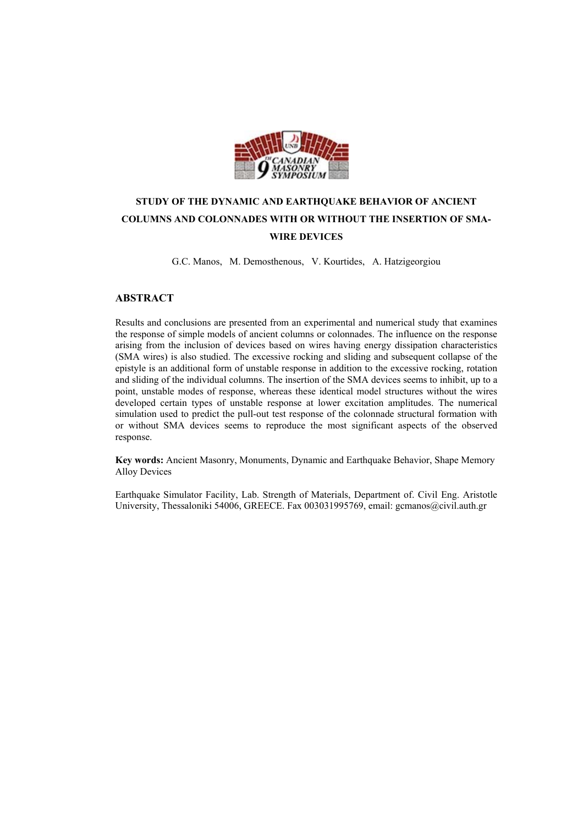

# **STUDY OF THE DYNAMIC AND EARTHQUAKE BEHAVIOR OF ANCIENT COLUMNS AND COLONNADES WITH OR WITHOUT THE INSERTION OF SMA-WIRE DEVICES**

G.C. Manos, M. Demosthenous, V. Kourtides, A. Hatzigeorgiou

# **ABSTRACT**

Results and conclusions are presented from an experimental and numerical study that examines the response of simple models of ancient columns or colonnades. The influence on the response arising from the inclusion of devices based on wires having energy dissipation characteristics (SMA wires) is also studied. The excessive rocking and sliding and subsequent collapse of the epistyle is an additional form of unstable response in addition to the excessive rocking, rotation and sliding of the individual columns. The insertion of the SMA devices seems to inhibit, up to a point, unstable modes of response, whereas these identical model structures without the wires developed certain types of unstable response at lower excitation amplitudes. The numerical simulation used to predict the pull-out test response of the colonnade structural formation with or without SMA devices seems to reproduce the most significant aspects of the observed response.

**Key words:** Ancient Masonry, Monuments, Dynamic and Earthquake Behavior, Shape Memory Alloy Devices

Earthquake Simulator Facility, Lab. Strength of Materials, Department of. Civil Eng. Aristotle University, Thessaloniki 54006, GREECE. Fax 003031995769, email: gcmanos@civil.auth.gr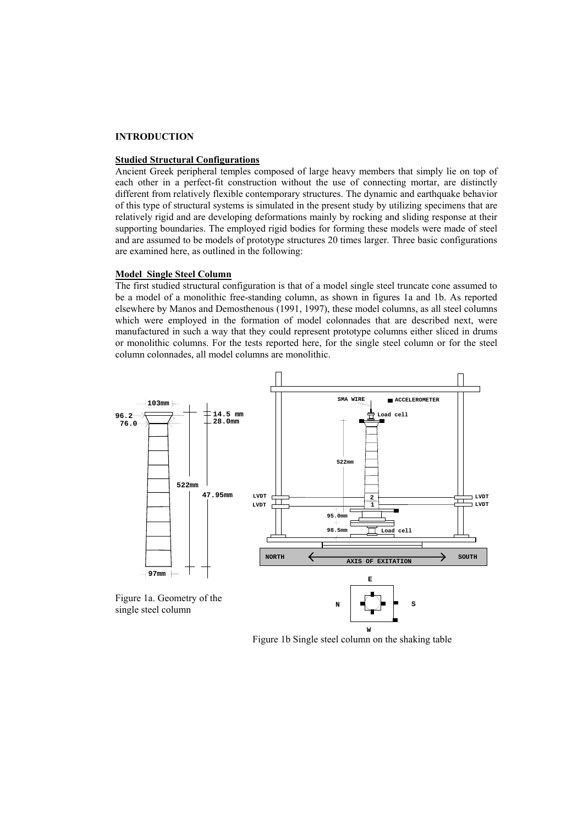## **INTRODUCTION**

# **Studied Structural Configurations**

Ancient Greek peripheral temples composed of large heavy members that simply lie on top of each other in a perfect-fit construction without the use of connecting mortar, are distinctly different from relatively flexible contemporary structures. The dynamic and earthquake behavior of this type of structural systems is simulated in the present study by utilizing specimens that are relatively rigid and are developing deformations mainly by rocking and sliding response at their supporting boundaries. The employed rigid bodies for forming these models were made of steel and are assumed to be models of prototype structures 20 times larger. Three basic configurations are examined here, as outlined in the following:

#### **Model Single Steel Column**

The first studied structural configuration is that of a model single steel truncate cone assumed to be a model of a monolithic free-standing column, as shown in figures 1a and 1b. As reported elsewhere by Manos and Demosthenous (1991, 1997), these model columns, as all steel columns which were employed in the formation of model colonnades that are described next, were manufactured in such a way that they could represent prototype columns either sliced in drums or monolithic columns. For the tests reported here, for the single steel column or for the steel column colonnades, all model columns are monolithic.



Figure 1b Single steel column on the shaking table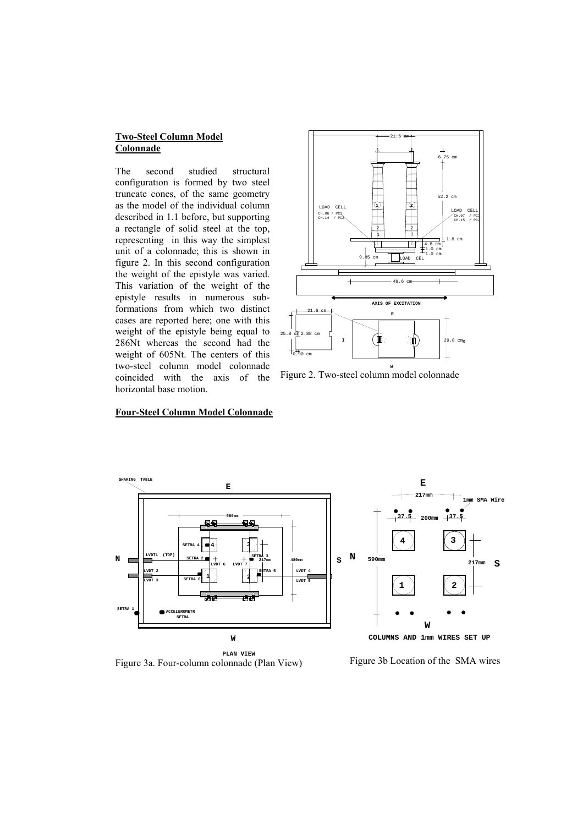## **Two-Steel Column Model Colonnade**

The second studied structural configuration is formed by two steel truncate cones, of the same geometry as the model of the individual column described in 1.1 before, but supporting a rectangle of solid steel at the top, representing in this way the simplest unit of a colonnade; this is shown in figure 2. In this second configuration the weight of the epistyle was varied. This variation of the weight of the epistyle results in numerous subformations from which two distinct cases are reported here; one with this weight of the epistyle being equal to 286Nt whereas the second had the weight of 605Nt. The centers of this two-steel column model colonnade coincided with the axis of the horizontal base motion.



Figure 2. Two-steel column model colonnade

## **Four-Steel Column Model Colonnade**



 **PLAN VIEW** Figure 3a. Four-column colonnade (Plan View)



**217mm**

**1mm SMA Wire**

**S**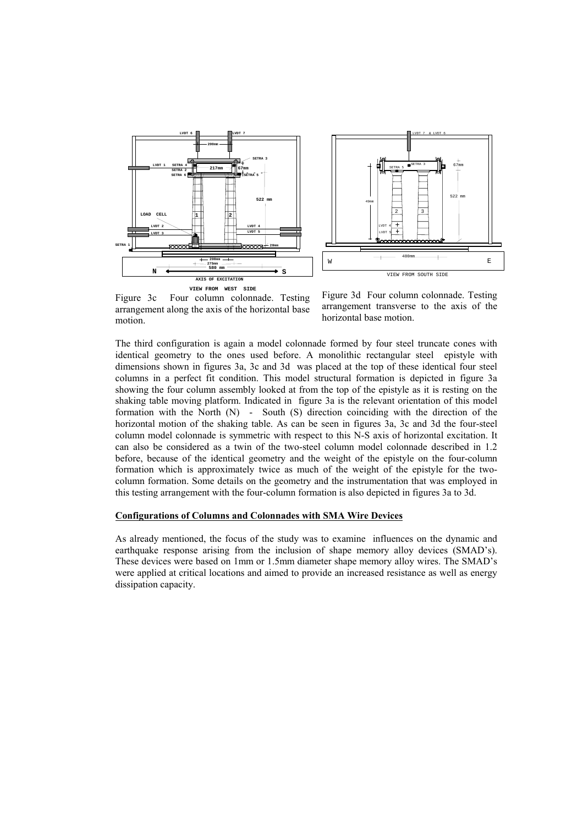



Figure 3c Four column colonnade. Testing arrangement along the axis of the horizontal base motion.

Figure 3d Four column colonnade. Testing arrangement transverse to the axis of the horizontal base motion.

The third configuration is again a model colonnade formed by four steel truncate cones with identical geometry to the ones used before. A monolithic rectangular steel epistyle with dimensions shown in figures 3a, 3c and 3d was placed at the top of these identical four steel columns in a perfect fit condition. This model structural formation is depicted in figure 3a showing the four column assembly looked at from the top of the epistyle as it is resting on the shaking table moving platform. Indicated in figure 3a is the relevant orientation of this model formation with the North (N) - South (S) direction coinciding with the direction of the horizontal motion of the shaking table. As can be seen in figures 3a, 3c and 3d the four-steel column model colonnade is symmetric with respect to this N-S axis of horizontal excitation. It can also be considered as a twin of the two-steel column model colonnade described in 1.2 before, because of the identical geometry and the weight of the epistyle on the four-column formation which is approximately twice as much of the weight of the epistyle for the twocolumn formation. Some details on the geometry and the instrumentation that was employed in this testing arrangement with the four-column formation is also depicted in figures 3a to 3d.

## **Configurations of Columns and Colonnades with SMA Wire Devices**

As already mentioned, the focus of the study was to examine influences on the dynamic and earthquake response arising from the inclusion of shape memory alloy devices (SMAD's). These devices were based on 1mm or 1.5mm diameter shape memory alloy wires. The SMAD's were applied at critical locations and aimed to provide an increased resistance as well as energy dissipation capacity.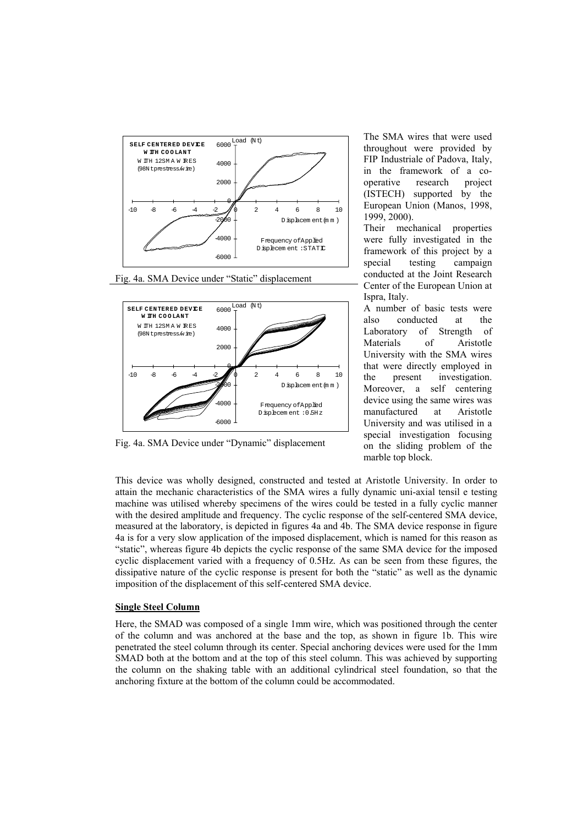





Fig. 4a. SMA Device under "Dynamic" displacement

The SMA wires that were used throughout were provided by FIP Industriale of Padova, Italy, in the framework of a cooperative research project (ISTECH) supported by the European Union (Manos, 1998, 1999, 2000).

Their mechanical properties were fully investigated in the framework of this project by a special testing campaign conducted at the Joint Research Center of the European Union at Ispra, Italy.

A number of basic tests were also conducted at the Laboratory of Strength of Materials of Aristotle University with the SMA wires that were directly employed in the present investigation. Moreover, a self centering device using the same wires was manufactured at Aristotle University and was utilised in a special investigation focusing on the sliding problem of the marble top block.

This device was wholly designed, constructed and tested at Aristotle University. In order to attain the mechanic characteristics of the SMA wires a fully dynamic uni-axial tensil e testing machine was utilised whereby specimens of the wires could be tested in a fully cyclic manner with the desired amplitude and frequency. The cyclic response of the self-centered SMA device, measured at the laboratory, is depicted in figures 4a and 4b. The SMA device response in figure 4a is for a very slow application of the imposed displacement, which is named for this reason as "static", whereas figure 4b depicts the cyclic response of the same SMA device for the imposed cyclic displacement varied with a frequency of 0.5Hz. As can be seen from these figures, the dissipative nature of the cyclic response is present for both the "static" as well as the dynamic imposition of the displacement of this self-centered SMA device.

#### **Single Steel Column**

Here, the SMAD was composed of a single 1mm wire, which was positioned through the center of the column and was anchored at the base and the top, as shown in figure 1b. This wire penetrated the steel column through its center. Special anchoring devices were used for the 1mm SMAD both at the bottom and at the top of this steel column. This was achieved by supporting the column on the shaking table with an additional cylindrical steel foundation, so that the anchoring fixture at the bottom of the column could be accommodated.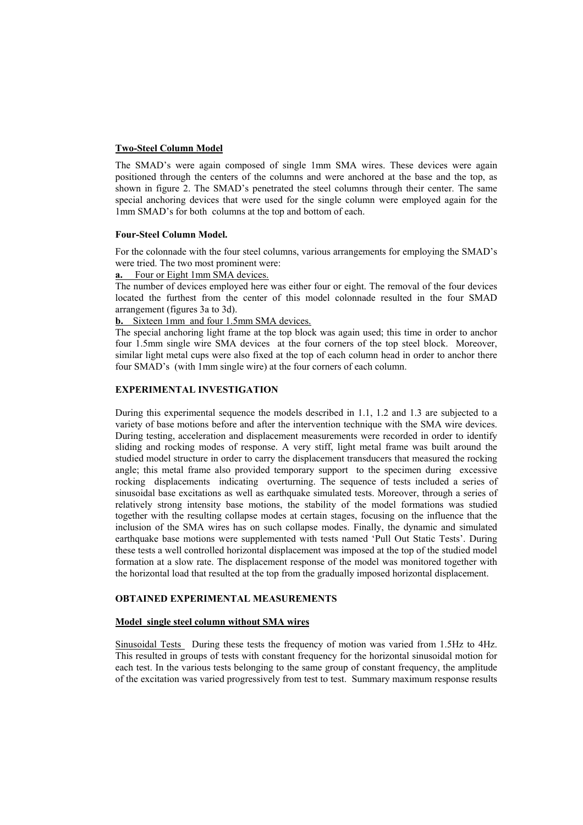## **Two-Steel Column Model**

The SMAD's were again composed of single 1mm SMA wires. These devices were again positioned through the centers of the columns and were anchored at the base and the top, as shown in figure 2. The SMAD's penetrated the steel columns through their center. The same special anchoring devices that were used for the single column were employed again for the 1mm SMAD's for both columns at the top and bottom of each.

#### **Four-Steel Column Model.**

For the colonnade with the four steel columns, various arrangements for employing the SMAD's were tried. The two most prominent were:

## **a.** Four or Eight 1mm SMA devices.

The number of devices employed here was either four or eight. The removal of the four devices located the furthest from the center of this model colonnade resulted in the four SMAD arrangement (figures 3a to 3d).

## **b.** Sixteen 1mm and four 1.5mm SMA devices.

The special anchoring light frame at the top block was again used; this time in order to anchor four 1.5mm single wire SMA devices at the four corners of the top steel block. Moreover, similar light metal cups were also fixed at the top of each column head in order to anchor there four SMAD's (with 1mm single wire) at the four corners of each column.

#### **EXPERIMENTAL INVESTIGATION**

During this experimental sequence the models described in 1.1, 1.2 and 1.3 are subjected to a variety of base motions before and after the intervention technique with the SMA wire devices. During testing, acceleration and displacement measurements were recorded in order to identify sliding and rocking modes of response. A very stiff, light metal frame was built around the studied model structure in order to carry the displacement transducers that measured the rocking angle; this metal frame also provided temporary support to the specimen during excessive rocking displacements indicating overturning. The sequence of tests included a series of sinusoidal base excitations as well as earthquake simulated tests. Moreover, through a series of relatively strong intensity base motions, the stability of the model formations was studied together with the resulting collapse modes at certain stages, focusing on the influence that the inclusion of the SMA wires has on such collapse modes. Finally, the dynamic and simulated earthquake base motions were supplemented with tests named 'Pull Out Static Tests'. During these tests a well controlled horizontal displacement was imposed at the top of the studied model formation at a slow rate. The displacement response of the model was monitored together with the horizontal load that resulted at the top from the gradually imposed horizontal displacement.

## **OBTAINED EXPERIMENTAL MEASUREMENTS**

#### **Model single steel column without SMA wires**

Sinusoidal Tests During these tests the frequency of motion was varied from 1.5Hz to 4Hz. This resulted in groups of tests with constant frequency for the horizontal sinusoidal motion for each test. In the various tests belonging to the same group of constant frequency, the amplitude of the excitation was varied progressively from test to test. Summary maximum response results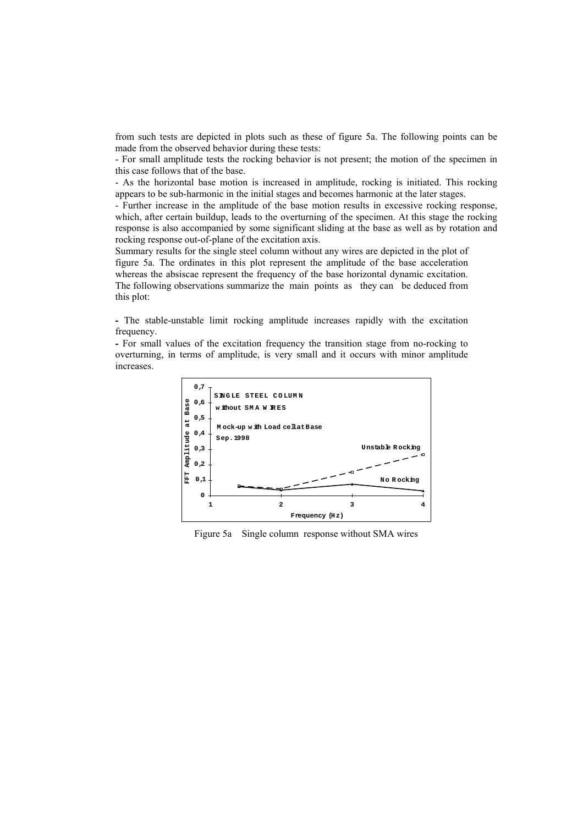from such tests are depicted in plots such as these of figure 5a. The following points can be made from the observed behavior during these tests:

- For small amplitude tests the rocking behavior is not present; the motion of the specimen in this case follows that of the base.

- As the horizontal base motion is increased in amplitude, rocking is initiated. This rocking appears to be sub-harmonic in the initial stages and becomes harmonic at the later stages.

- Further increase in the amplitude of the base motion results in excessive rocking response, which, after certain buildup, leads to the overturning of the specimen. At this stage the rocking response is also accompanied by some significant sliding at the base as well as by rotation and rocking response out-of-plane of the excitation axis.

Summary results for the single steel column without any wires are depicted in the plot of figure 5a. The ordinates in this plot represent the amplitude of the base acceleration whereas the absiscae represent the frequency of the base horizontal dynamic excitation. The following observations summarize the main points as they can be deduced from this plot:

**-** The stable-unstable limit rocking amplitude increases rapidly with the excitation frequency.

**-** For small values of the excitation frequency the transition stage from no-rocking to overturning, in terms of amplitude, is very small and it occurs with minor amplitude increases.

![](_page_6_Figure_7.jpeg)

Figure 5a Single column response without SMA wires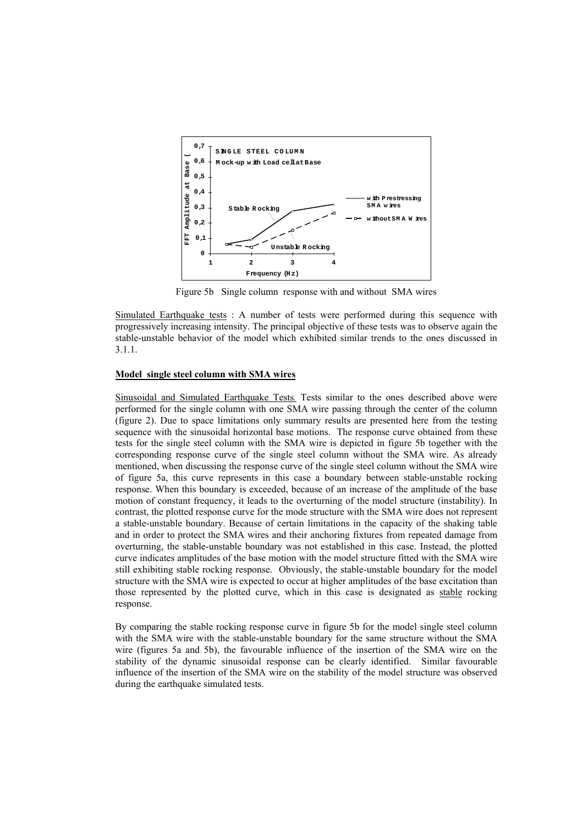![](_page_7_Figure_0.jpeg)

Figure 5b Single column response with and without SMA wires

Simulated Earthquake tests : A number of tests were performed during this sequence with progressively increasing intensity. The principal objective of these tests was to observe again the stable-unstable behavior of the model which exhibited similar trends to the ones discussed in 3.1.1.

#### **Model single steel column with SMA wires**

Sinusoidal and Simulated Earthquake Tests*.* Tests similar to the ones described above were performed for the single column with one SMA wire passing through the center of the column (figure 2). Due to space limitations only summary results are presented here from the testing sequence with the sinusoidal horizontal base motions. The response curve obtained from these tests for the single steel column with the SMA wire is depicted in figure 5b together with the corresponding response curve of the single steel column without the SMA wire. As already mentioned, when discussing the response curve of the single steel column without the SMA wire of figure 5a, this curve represents in this case a boundary between stable-unstable rocking response. When this boundary is exceeded, because of an increase of the amplitude of the base motion of constant frequency, it leads to the overturning of the model structure (instability). In contrast, the plotted response curve for the mode structure with the SMA wire does not represent a stable-unstable boundary. Because of certain limitations in the capacity of the shaking table and in order to protect the SMA wires and their anchoring fixtures from repeated damage from overturning, the stable-unstable boundary was not established in this case. Instead, the plotted curve indicates amplitudes of the base motion with the model structure fitted with the SMA wire still exhibiting stable rocking response. Obviously, the stable-unstable boundary for the model structure with the SMA wire is expected to occur at higher amplitudes of the base excitation than those represented by the plotted curve, which in this case is designated as stable rocking response.

By comparing the stable rocking response curve in figure 5b for the model single steel column with the SMA wire with the stable-unstable boundary for the same structure without the SMA wire (figures 5a and 5b), the favourable influence of the insertion of the SMA wire on the stability of the dynamic sinusoidal response can be clearly identified. Similar favourable influence of the insertion of the SMA wire on the stability of the model structure was observed during the earthquake simulated tests.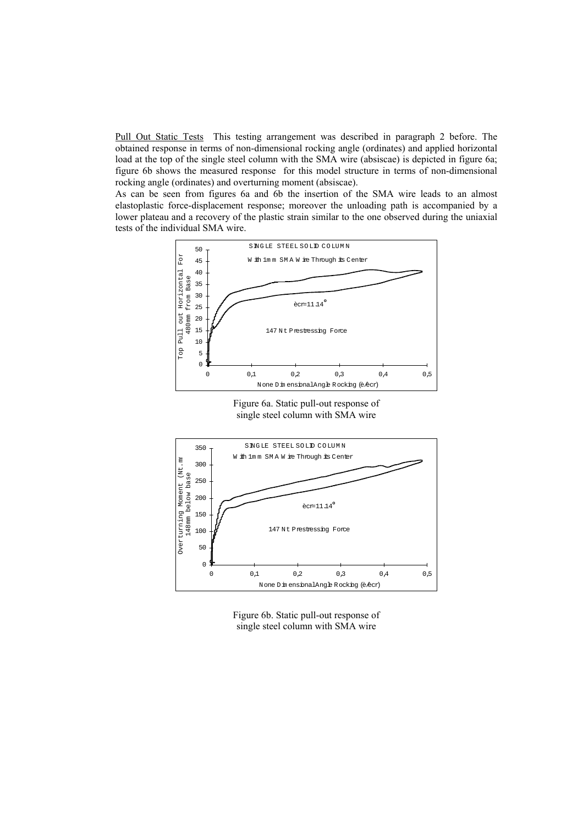Pull Out Static Tests This testing arrangement was described in paragraph 2 before. The obtained response in terms of non-dimensional rocking angle (ordinates) and applied horizontal load at the top of the single steel column with the SMA wire (absiscae) is depicted in figure 6a; figure 6b shows the measured response for this model structure in terms of non-dimensional rocking angle (ordinates) and overturning moment (absiscae).

As can be seen from figures 6a and 6b the insertion of the SMA wire leads to an almost elastoplastic force-displacement response; moreover the unloading path is accompanied by a lower plateau and a recovery of the plastic strain similar to the one observed during the uniaxial tests of the individual SMA wire.

![](_page_8_Figure_2.jpeg)

Figure 6a. Static pull-out response of single steel column with SMA wire

![](_page_8_Figure_4.jpeg)

Figure 6b. Static pull-out response of single steel column with SMA wire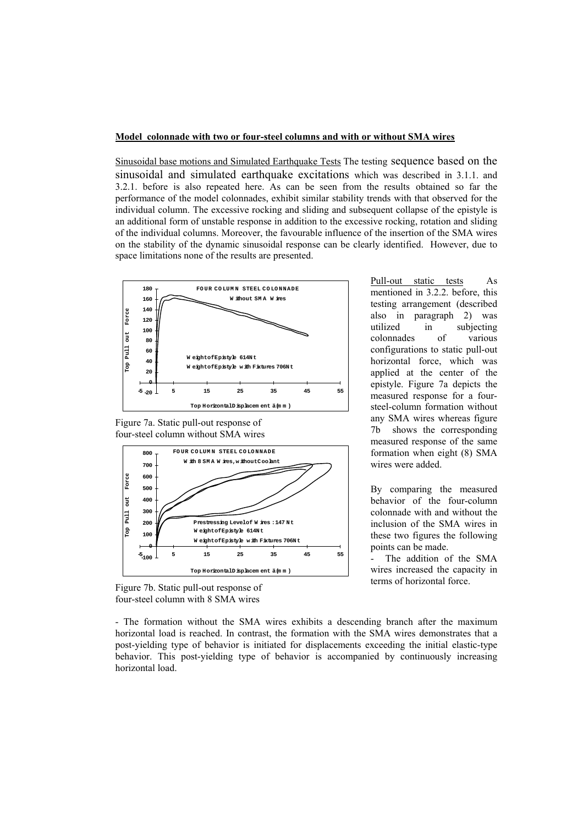## **Model colonnade with two or four-steel columns and with or without SMA wires**

Sinusoidal base motions and Simulated Earthquake Tests The testing sequence based on the sinusoidal and simulated earthquake excitations which was described in 3.1.1. and 3.2.1. before is also repeated here. As can be seen from the results obtained so far the performance of the model colonnades, exhibit similar stability trends with that observed for the individual column. The excessive rocking and sliding and subsequent collapse of the epistyle is an additional form of unstable response in addition to the excessive rocking, rotation and sliding of the individual columns. Moreover, the favourable influence of the insertion of the SMA wires on the stability of the dynamic sinusoidal response can be clearly identified. However, due to space limitations none of the results are presented.

![](_page_9_Figure_2.jpeg)

Figure 7a. Static pull-out response of four-steel column without SMA wires

![](_page_9_Figure_4.jpeg)

Figure 7b. Static pull-out response of four-steel column with 8 SMA wires

Pull-out static tests As mentioned in 3.2.2. before, this testing arrangement (described also in paragraph 2) was utilized in subjecting colonnades of various configurations to static pull-out horizontal force, which was applied at the center of the epistyle. Figure 7a depicts the measured response for a foursteel-column formation without any SMA wires whereas figure 7b shows the corresponding measured response of the same formation when eight (8) SMA wires were added.

By comparing the measured behavior of the four-column colonnade with and without the inclusion of the SMA wires in these two figures the following points can be made.

The addition of the SMA wires increased the capacity in terms of horizontal force.

- The formation without the SMA wires exhibits a descending branch after the maximum horizontal load is reached. In contrast, the formation with the SMA wires demonstrates that a post-yielding type of behavior is initiated for displacements exceeding the initial elastic-type behavior. This post-yielding type of behavior is accompanied by continuously increasing horizontal load.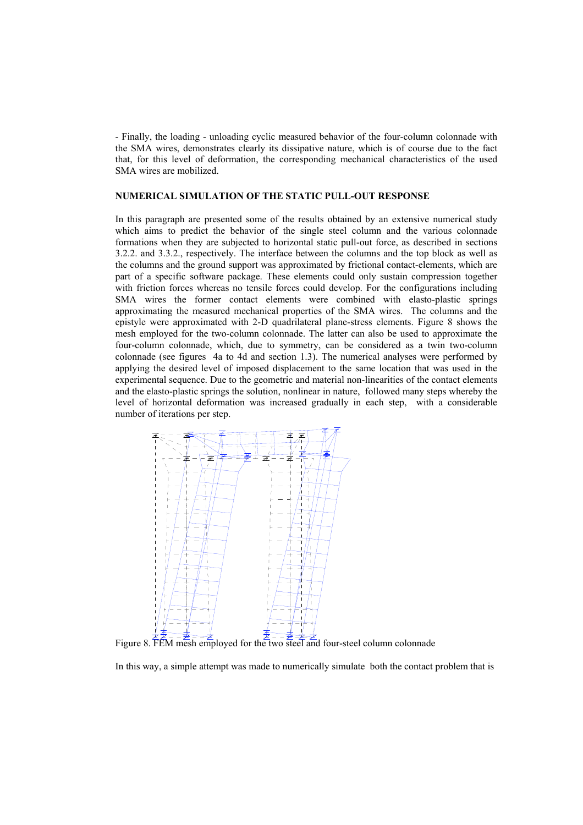- Finally, the loading - unloading cyclic measured behavior of the four-column colonnade with the SMA wires, demonstrates clearly its dissipative nature, which is of course due to the fact that, for this level of deformation, the corresponding mechanical characteristics of the used SMA wires are mobilized.

## **NUMERICAL SIMULATION OF THE STATIC PULL-OUT RESPONSE**

In this paragraph are presented some of the results obtained by an extensive numerical study which aims to predict the behavior of the single steel column and the various colonnade formations when they are subjected to horizontal static pull-out force, as described in sections 3.2.2. and 3.3.2., respectively. The interface between the columns and the top block as well as the columns and the ground support was approximated by frictional contact-elements, which are part of a specific software package. These elements could only sustain compression together with friction forces whereas no tensile forces could develop. For the configurations including SMA wires the former contact elements were combined with elasto-plastic springs approximating the measured mechanical properties of the SMA wires. The columns and the epistyle were approximated with 2-D quadrilateral plane-stress elements. Figure 8 shows the mesh employed for the two-column colonnade. The latter can also be used to approximate the four-column colonnade, which, due to symmetry, can be considered as a twin two-column colonnade (see figures 4a to 4d and section 1.3). The numerical analyses were performed by applying the desired level of imposed displacement to the same location that was used in the experimental sequence. Due to the geometric and material non-linearities of the contact elements and the elasto-plastic springs the solution, nonlinear in nature, followed many steps whereby the level of horizontal deformation was increased gradually in each step, with a considerable number of iterations per step.

![](_page_10_Figure_3.jpeg)

Figure 8. FEM mesh employed for the two steel and four-steel column colonnade

In this way, a simple attempt was made to numerically simulate both the contact problem that is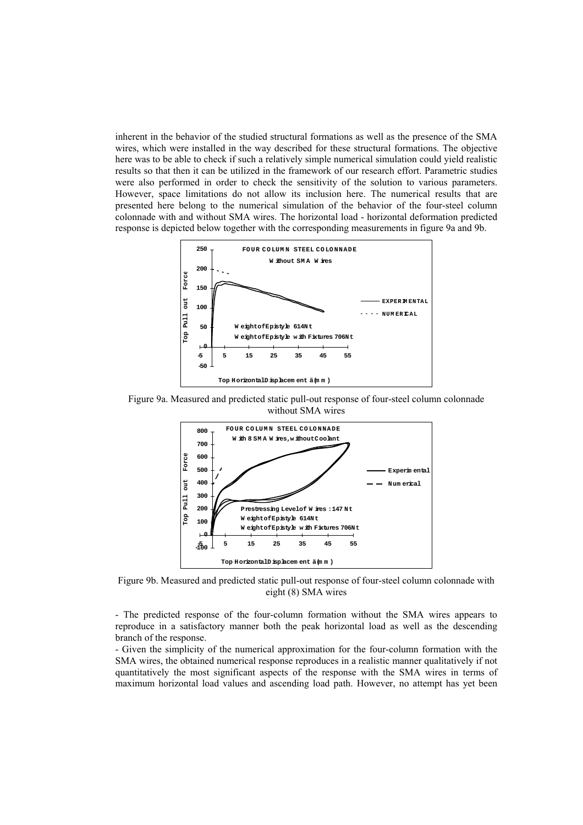inherent in the behavior of the studied structural formations as well as the presence of the SMA wires, which were installed in the way described for these structural formations. The objective here was to be able to check if such a relatively simple numerical simulation could yield realistic results so that then it can be utilized in the framework of our research effort. Parametric studies were also performed in order to check the sensitivity of the solution to various parameters. However, space limitations do not allow its inclusion here. The numerical results that are presented here belong to the numerical simulation of the behavior of the four-steel column colonnade with and without SMA wires. The horizontal load - horizontal deformation predicted response is depicted below together with the corresponding measurements in figure 9a and 9b.

![](_page_11_Figure_1.jpeg)

Figure 9a. Measured and predicted static pull-out response of four-steel column colonnade without SMA wires

![](_page_11_Figure_3.jpeg)

Figure 9b. Measured and predicted static pull-out response of four-steel column colonnade with eight (8) SMA wires

- The predicted response of the four-column formation without the SMA wires appears to reproduce in a satisfactory manner both the peak horizontal load as well as the descending branch of the response.

- Given the simplicity of the numerical approximation for the four-column formation with the SMA wires, the obtained numerical response reproduces in a realistic manner qualitatively if not quantitatively the most significant aspects of the response with the SMA wires in terms of maximum horizontal load values and ascending load path. However, no attempt has yet been